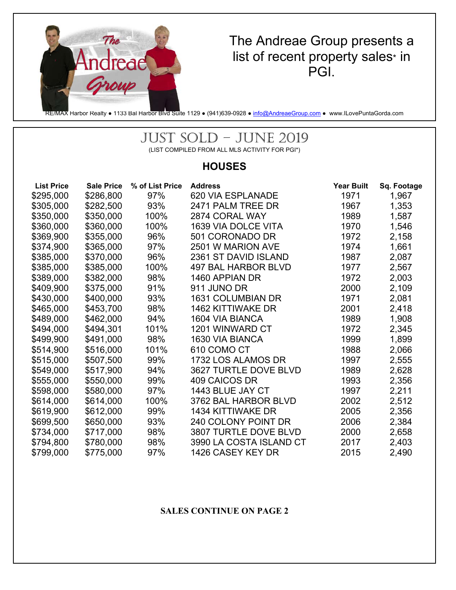

## The Andreae Group presents a list of recent property sales\* in PGI.

RE/MAX Harbor Realty • 1133 Bal Harbor Blvd Suite 1129 • (941)639-0928 • info@AndreaeGroup.com • www.ILovePuntaGorda.com

# JUST SOLD – JUNE 2019

(LIST COMPILED FROM ALL MLS ACTIVITY FOR PGI\*)

### **HOUSES**

| <b>List Price</b> | <b>Sale Price</b> | % of List Price | <b>Address</b>             | <b>Year Built</b> | Sq. Footage |
|-------------------|-------------------|-----------------|----------------------------|-------------------|-------------|
| \$295,000         | \$286,800         | 97%             | <b>620 VIA ESPLANADE</b>   | 1971              | 1,967       |
| \$305,000         | \$282,500         | 93%             | 2471 PALM TREE DR          | 1967              | 1,353       |
| \$350,000         | \$350,000         | 100%            | 2874 CORAL WAY             | 1989              | 1,587       |
| \$360,000         | \$360,000         | 100%            | 1639 VIA DOLCE VITA        | 1970              | 1,546       |
| \$369,900         | \$355,000         | 96%             | 501 CORONADO DR            | 1972              | 2,158       |
| \$374,900         | \$365,000         | 97%             | 2501 W MARION AVE          | 1974              | 1,661       |
| \$385,000         | \$370,000         | 96%             | 2361 ST DAVID ISLAND       | 1987              | 2,087       |
| \$385,000         | \$385,000         | 100%            | <b>497 BAL HARBOR BLVD</b> | 1977              | 2,567       |
| \$389,000         | \$382,000         | 98%             | 1460 APPIAN DR             | 1972              | 2,003       |
| \$409,900         | \$375,000         | 91%             | 911 JUNO DR                | 2000              | 2,109       |
| \$430,000         | \$400,000         | 93%             | <b>1631 COLUMBIAN DR</b>   | 1971              | 2,081       |
| \$465,000         | \$453,700         | 98%             | <b>1462 KITTIWAKE DR</b>   | 2001              | 2,418       |
| \$489,000         | \$462,000         | 94%             | 1604 VIA BIANCA            | 1989              | 1,908       |
| \$494,000         | \$494,301         | 101%            | 1201 WINWARD CT            | 1972              | 2,345       |
| \$499,900         | \$491,000         | 98%             | 1630 VIA BIANCA            | 1999              | 1,899       |
| \$514,900         | \$516,000         | 101%            | 610 COMO CT                | 1988              | 2,066       |
| \$515,000         | \$507,500         | 99%             | 1732 LOS ALAMOS DR         | 1997              | 2,555       |
| \$549,000         | \$517,900         | 94%             | 3627 TURTLE DOVE BLVD      | 1989              | 2,628       |
| \$555,000         | \$550,000         | 99%             | 409 CAICOS DR              | 1993              | 2,356       |
| \$598,000         | \$580,000         | 97%             | 1443 BLUE JAY CT           | 1997              | 2,211       |
| \$614,000         | \$614,000         | 100%            | 3762 BAL HARBOR BLVD       | 2002              | 2,512       |
| \$619,900         | \$612,000         | 99%             | 1434 KITTIWAKE DR          | 2005              | 2,356       |
| \$699,500         | \$650,000         | 93%             | 240 COLONY POINT DR        | 2006              | 2,384       |
| \$734,000         | \$717,000         | 98%             | 3807 TURTLE DOVE BLVD      | 2000              | 2,658       |
| \$794,800         | \$780,000         | 98%             | 3990 LA COSTA ISLAND CT    | 2017              | 2,403       |
| \$799,000         | \$775,000         | 97%             | 1426 CASEY KEY DR          | 2015              | 2,490       |

#### **SALES CONTINUE ON PAGE 2**